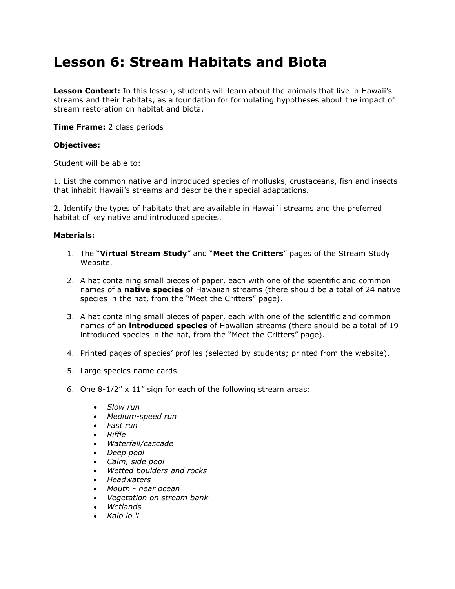# **Lesson 6: Stream Habitats and Biota**

**Lesson Context:** In this lesson, students will learn about the animals that live in Hawaii's streams and their habitats, as a foundation for formulating hypotheses about the impact of stream restoration on habitat and biota.

**Time Frame:** 2 class periods

#### **Objectives:**

Student will be able to:

1. List the common native and introduced species of mollusks, crustaceans, fish and insects that inhabit Hawaii"s streams and describe their special adaptations.

2. Identify the types of habitats that are available in Hawai "i streams and the preferred habitat of key native and introduced species.

#### **Materials:**

- 1. The "**Virtual Stream Study**" and "**Meet the Critters**" pages of the Stream Study Website.
- 2. A hat containing small pieces of paper, each with one of the scientific and common names of a **native species** of Hawaiian streams (there should be a total of 24 native species in the hat, from the "Meet the Critters" page).
- 3. A hat containing small pieces of paper, each with one of the scientific and common names of an **introduced species** of Hawaiian streams (there should be a total of 19 introduced species in the hat, from the "Meet the Critters" page).
- 4. Printed pages of species" profiles (selected by students; printed from the website).
- 5. Large species name cards.
- 6. One 8-1/2" x 11" sign for each of the following stream areas:
	- *Slow run*
	- *Medium-speed run*
	- *Fast run*
	- *Riffle*
	- *Waterfall/cascade*
	- *Deep pool*
	- *Calm, side pool*
	- *Wetted boulders and rocks*
	- *Headwaters*
	- *Mouth - near ocean*
	- *Vegetation on stream bank*
	- *Wetlands*
	- *Kalo lo 'i*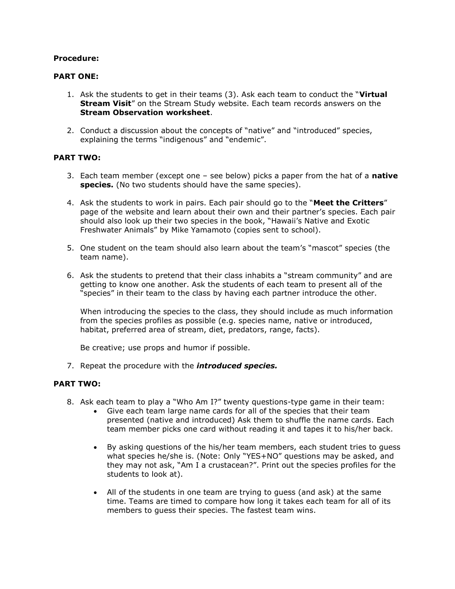### **Procedure:**

### **PART ONE:**

- 1. Ask the students to get in their teams (3). Ask each team to conduct the "**Virtual Stream Visit**" on the Stream Study website. Each team records answers on the **Stream Observation worksheet**.
- 2. Conduct a discussion about the concepts of "native" and "introduced" species, explaining the terms "indigenous" and "endemic".

## **PART TWO:**

- 3. Each team member (except one see below) picks a paper from the hat of a **native species.** (No two students should have the same species).
- 4. Ask the students to work in pairs. Each pair should go to the "**Meet the Critters**" page of the website and learn about their own and their partner"s species. Each pair should also look up their two species in the book, "Hawaii"s Native and Exotic Freshwater Animals" by Mike Yamamoto (copies sent to school).
- 5. One student on the team should also learn about the team"s "mascot" species (the team name).
- 6. Ask the students to pretend that their class inhabits a "stream community" and are getting to know one another. Ask the students of each team to present all of the "species" in their team to the class by having each partner introduce the other.

When introducing the species to the class, they should include as much information from the species profiles as possible (e.g. species name, native or introduced, habitat, preferred area of stream, diet, predators, range, facts).

Be creative; use props and humor if possible.

7. Repeat the procedure with the *introduced species.* 

#### **PART TWO:**

- 8. Ask each team to play a "Who Am I?" twenty questions-type game in their team:
	- Give each team large name cards for all of the species that their team presented (native and introduced) Ask them to shuffle the name cards. Each team member picks one card without reading it and tapes it to his/her back.
	- By asking questions of the his/her team members, each student tries to guess what species he/she is. (Note: Only "YES+NO" questions may be asked, and they may not ask, "Am I a crustacean?". Print out the species profiles for the students to look at).
	- All of the students in one team are trying to guess (and ask) at the same time. Teams are timed to compare how long it takes each team for all of its members to guess their species. The fastest team wins.